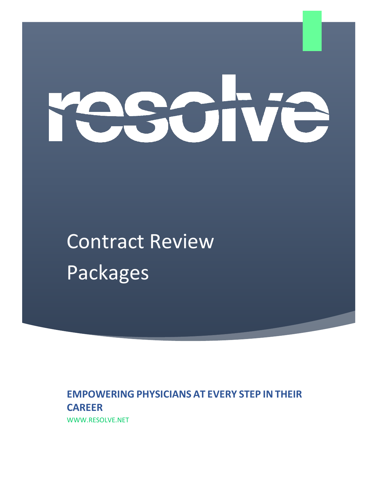# **KOT**

Contract Review Packages

**EMPOWERING PHYSICIANS AT EVERY STEP IN THEIR CAREER**  WWW.RESOLVE.NET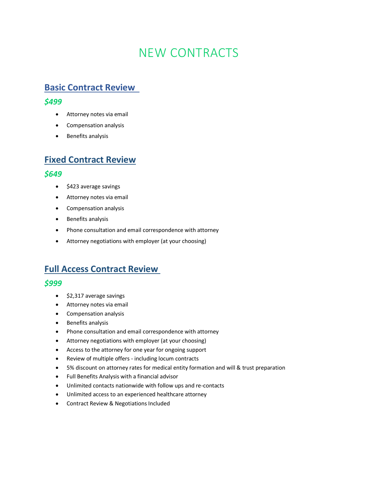# NEW CONTRACTS

# **Basic Contract Review**

#### *\$499*

- Attorney notes via email
- Compensation analysis
- Benefits analysis

# **Fixed Contract Review**

#### *\$649*

- \$423 average savings
- Attorney notes via email
- Compensation analysis
- Benefits analysis
- Phone consultation and email correspondence with attorney
- Attorney negotiations with employer (at your choosing)

# **Full Access Contract Review**

#### *\$999*

- \$2,317 average savings
- Attorney notes via email
- Compensation analysis
- Benefits analysis
- Phone consultation and email correspondence with attorney
- Attorney negotiations with employer (at your choosing)
- Access to the attorney for one year for ongoing support
- Review of multiple offers including locum contracts
- 5% discount on attorney rates for medical entity formation and will & trust preparation
- Full Benefits Analysis with a financial advisor
- Unlimited contacts nationwide with follow ups and re-contacts
- Unlimited access to an experienced healthcare attorney
- Contract Review & Negotiations Included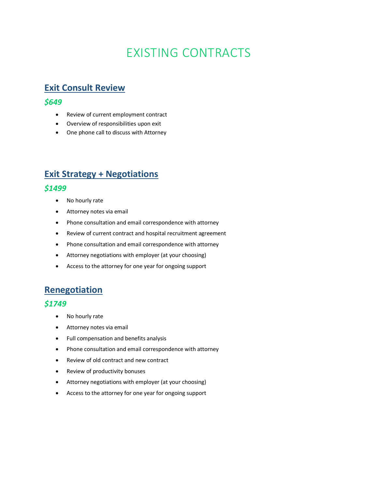# EXISTING CONTRACTS

## **Exit Consult Review**

#### *\$649*

- Review of current employment contract
- Overview of responsibilities upon exit
- One phone call to discuss with Attorney

## **Exit Strategy + Negotiations**

#### *\$1499*

- No hourly rate
- Attorney notes via email
- Phone consultation and email correspondence with attorney
- Review of current contract and hospital recruitment agreement
- Phone consultation and email correspondence with attorney
- Attorney negotiations with employer (at your choosing)
- Access to the attorney for one year for ongoing support

## **Renegotiation**

#### *\$1749*

- No hourly rate
- Attorney notes via email
- Full compensation and benefits analysis
- Phone consultation and email correspondence with attorney
- Review of old contract and new contract
- Review of productivity bonuses
- Attorney negotiations with employer (at your choosing)
- Access to the attorney for one year for ongoing support